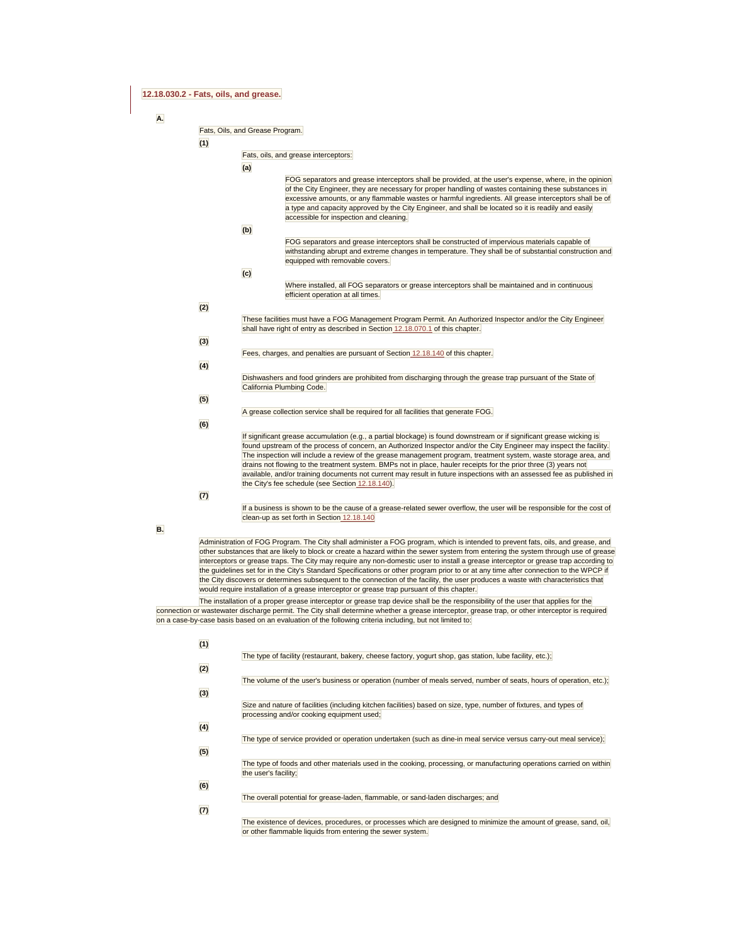# **12.18.030.2 - Fats, oils, and grease.**

**A.** 

### Fats, Oils, and Grease Program.

**(1)** 

| Fats, oils, and grease interceptors: |  |
|--------------------------------------|--|

the City's fee schedule (see Section 12.18.140).

| (a) |                                                                                                                        |
|-----|------------------------------------------------------------------------------------------------------------------------|
|     | FOG separators and grease interceptors shall be provided, at the user's expense, where, in the opinion                 |
|     | of the City Engineer, they are necessary for proper handling of wastes containing these substances in                  |
|     | excessive amounts, or any flammable wastes or harmful ingredients. All grease interceptors shall be of                 |
|     | a type and capacity approved by the City Engineer, and shall be located so it is readily and easily                    |
|     | accessible for inspection and cleaning.                                                                                |
| (b) |                                                                                                                        |
|     | FOG separators and grease interceptors shall be constructed of impervious materials capable of                         |
|     | withstanding abrupt and extreme changes in temperature. They shall be of substantial construction and                  |
|     | equipped with removable covers.                                                                                        |
| (c) |                                                                                                                        |
|     |                                                                                                                        |
|     | Where installed, all FOG separators or grease interceptors shall be maintained and in continuous                       |
|     | efficient operation at all times.                                                                                      |
|     |                                                                                                                        |
|     | These facilities must have a FOG Management Program Permit. An Authorized Inspector and/or the City Engineer           |
|     | shall have right of entry as described in Section 12.18.070.1 of this chapter.                                         |
|     |                                                                                                                        |
|     |                                                                                                                        |
|     | Fees, charges, and penalties are pursuant of Section 12.18.140 of this chapter.                                        |
|     |                                                                                                                        |
|     | Dishwashers and food grinders are prohibited from discharging through the grease trap pursuant of the State of         |
|     | California Plumbing Code.                                                                                              |
|     |                                                                                                                        |
|     |                                                                                                                        |
|     | A grease collection service shall be required for all facilities that generate FOG.                                    |
|     |                                                                                                                        |
|     | If significant grease accumulation (e.g., a partial blockage) is found downstream or if significant grease wicking is  |
|     | found upstream of the process of concern, an Authorized Inspector and/or the City Engineer may inspect the facility.   |
|     | The inspection will include a review of the grease management program, treatment system, waste storage area, and       |
|     | drains not flowing to the treatment system. BMPs not in place, hauler receipts for the prior three (3) years not       |
|     | available, and/or training documents not current may result in future inspections with an assessed fee as published in |

**(7)** 

**(2)** 

**(3)** 

**(4)** 

**(5)** 

**(6)** 

If a business is shown to be the cause of a grease-related sewer overflow, the user will be responsible for the cost of clean-up as set forth in Section 12.18.140

**B.** 

Administration of FOG Program. The City shall administer a FOG program, which is intended to prevent fats, oils, and grease, and other substances that are likely to block or create a hazard within the sewer system from entering the system through use of grease interceptors or grease traps. The City may require any non-domestic user to install a grease interceptor or grease trap according to the guidelines set for in the City's Standard Specifications or other program prior to or at any time after connection to the WPCP if the City discovers or determines subsequent to the connection of the facility, the user produces a waste with characteristics that would require installation of a grease interceptor or grease trap pursuant of this chapter.

The installation of a proper grease interceptor or grease trap device shall be the responsibility of the user that applies for the connection or wastewater discharge permit. The City shall determine whether a grease interceptor, grease trap, or other interceptor is required on a case-by-case basis based on an evaluation of the following criteria including, but not limited to:

| (1) |                                                                                                                                                                 |
|-----|-----------------------------------------------------------------------------------------------------------------------------------------------------------------|
|     | The type of facility (restaurant, bakery, cheese factory, yogurt shop, gas station, lube facility, etc.);                                                       |
| (2) |                                                                                                                                                                 |
|     | The volume of the user's business or operation (number of meals served, number of seats, hours of operation, etc.);                                             |
| (3) |                                                                                                                                                                 |
|     | Size and nature of facilities (including kitchen facilities) based on size, type, number of fixtures, and types of<br>processing and/or cooking equipment used; |
| (4) |                                                                                                                                                                 |
|     | The type of service provided or operation undertaken (such as dine-in meal service versus carry-out meal service);                                              |
| (5) |                                                                                                                                                                 |
|     | The type of foods and other materials used in the cooking, processing, or manufacturing operations carried on within<br>the user's facility;                    |
| (6) |                                                                                                                                                                 |
|     | The overall potential for grease-laden, flammable, or sand-laden discharges; and                                                                                |
| (7) | The colleges of declera servedness conserves coldabilities declined to address the service of modern could all                                                  |

The existence of devices, procedures, or processes which are designed to minimize the amount of grease, sand, oil, or other flammable liquids from entering the sewer system.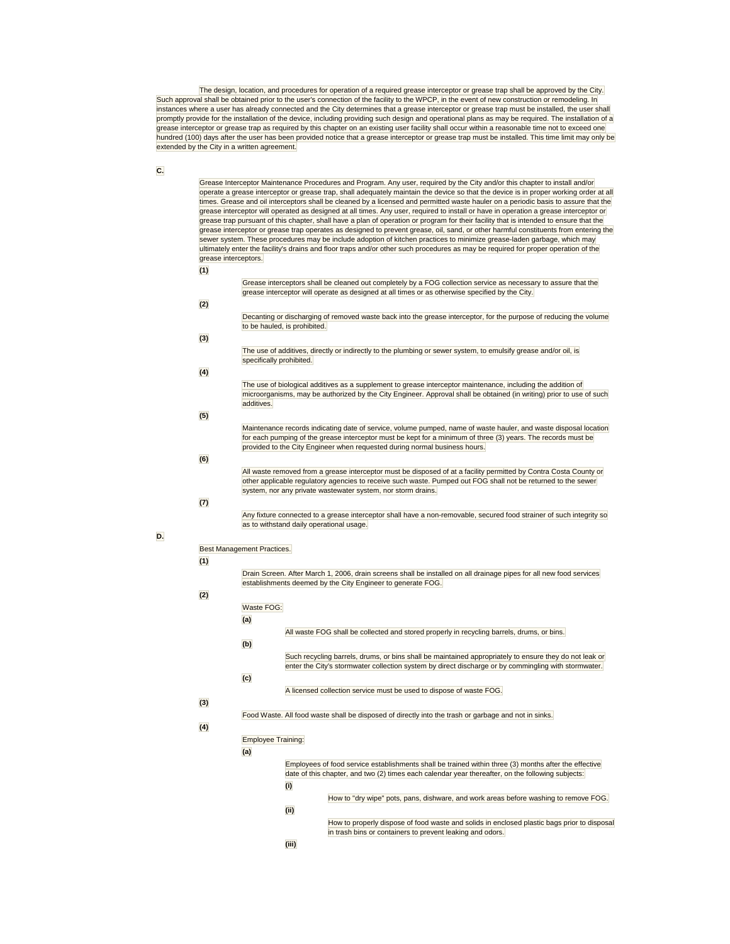The design, location, and procedures for operation of a required grease interceptor or grease trap shall be approved by the City. Such approval shall be obtained prior to the user's connection of the facility to the WPCP, in the event of new construction or remodeling. In instances where a user has already connected and the City determines that a grease interceptor or grease trap must be installed, the user shall promptly provide for the installation of the device, including providing such design and operational plans as may be required. The installation of a grease interceptor or grease trap as required by this chapter on an existing user facility shall occur within a reasonable time not to exceed one hundred (100) days after the user has been provided notice that a grease interceptor or grease trap must be installed. This time limit may only be extended by the City in a written agreement.

# **C.**

Grease Interceptor Maintenance Procedures and Program. Any user, required by the City and/or this chapter to install and/or operate a grease interceptor or grease trap, shall adequately maintain the device so that the device is in proper working order at all times. Grease and oil interceptors shall be cleaned by a licensed and permitted waste hauler on a periodic basis to assure that the grease interceptor will operated as designed at all times. Any user, required to install or have in operation a grease interceptor or grease trap pursuant of this chapter, shall have a plan of operation or program for their facility that is intended to ensure that the grease interceptor or grease trap operates as designed to prevent grease, oil, sand, or other harmful constituents from entering the sewer system. These procedures may be include adoption of kitchen practices to minimize grease-laden garbage, which may ultimately enter the facility's drains and floor traps and/or other such procedures as may be required for proper operation of the grease interceptors.

#### **(1)**

**(2)** 

**(3)** 

Grease interceptors shall be cleaned out completely by a FOG collection service as necessary to assure that the grease interceptor will operate as designed at all times or as otherwise specified by the City. Decanting or discharging of removed waste back into the grease interceptor, for the purpose of reducing the volume to be hauled, is prohibited.

#### The use of additives, directly or indirectly to the plumbing or sewer system, to emulsify grease and/or oil, is specifically prohibited.

# **(4)**

The use of biological additives as a supplement to grease interceptor maintenance, including the addition of microorganisms, may be authorized by the City Engineer. Approval shall be obtained (in writing) prior to use of such additives.

#### Maintenance records indicating date of service, volume pumped, name of waste hauler, and waste disposal location for each pumping of the grease interceptor must be kept for a minimum of three (3) years. The records must be provided to the City Engineer when requested during normal business hours.

# **(6)**

**(5)** 

All waste removed from a grease interceptor must be disposed of at a facility permitted by Contra Costa County or other applicable regulatory agencies to receive such waste. Pumped out FOG shall not be returned to the sewer system, nor any private wastewater system, nor storm drains.

# **(7)**

Any fixture connected to a grease interceptor shall have a non-removable, secured food strainer of such integrity so as to withstand daily operational usage.

# **D.**

# Best Management Practices.

### **(1)**

Drain Screen. After March 1, 2006, drain screens shall be installed on all drainage pipes for all new food services establishments deemed by the City Engineer to generate FOG.

#### **(2)**  Waste FOG:

| Such recycling barrels, drums, or bins shall be maintained appropriately to ensure they do not leak or |
|--------------------------------------------------------------------------------------------------------|
| enter the City's stormwater collection system by direct discharge or by commingling with stormwater.   |
|                                                                                                        |
|                                                                                                        |
|                                                                                                        |

### **(3)**

### Food Waste. All food waste shall be disposed of directly into the trash or garbage and not in sinks.

**(4)** 

# Employee Training:

**(a)** 

#### Employees of food service establishments shall be trained within three (3) months after the effective date of this chapter, and two (2) times each calendar year thereafter, on the following subjects: **(i)**

- How to "dry wipe" pots, pans, dishware, and work areas before washing to remove FOG.
- How to properly dispose of food waste and solids in enclosed plastic bags prior to disposal in trash bins or containers to prevent leaking and odors.
- **(iii)**

**(ii)**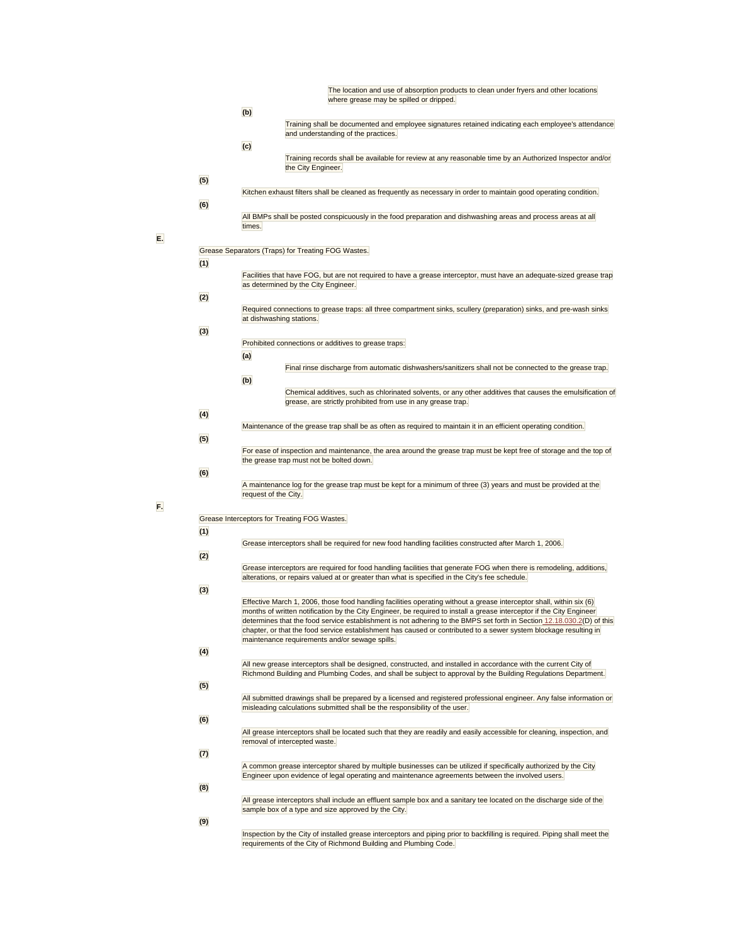|     | The location and use of absorption products to clean under fryers and other locations<br>where grease may be spilled or dripped.                                                                                                                                                              |  |  |  |
|-----|-----------------------------------------------------------------------------------------------------------------------------------------------------------------------------------------------------------------------------------------------------------------------------------------------|--|--|--|
|     | (b)                                                                                                                                                                                                                                                                                           |  |  |  |
|     | Training shall be documented and employee signatures retained indicating each employee's attendance<br>and understanding of the practices.                                                                                                                                                    |  |  |  |
|     | (c)<br>Training records shall be available for review at any reasonable time by an Authorized Inspector and/or<br>the City Engineer.                                                                                                                                                          |  |  |  |
| (5) | Kitchen exhaust filters shall be cleaned as frequently as necessary in order to maintain good operating condition.                                                                                                                                                                            |  |  |  |
| (6) | All BMPs shall be posted conspicuously in the food preparation and dishwashing areas and process areas at all<br>times.                                                                                                                                                                       |  |  |  |
|     | Grease Separators (Traps) for Treating FOG Wastes.                                                                                                                                                                                                                                            |  |  |  |
| (1) | Facilities that have FOG, but are not required to have a grease interceptor, must have an adequate-sized grease trap<br>as determined by the City Engineer.                                                                                                                                   |  |  |  |
| (2) |                                                                                                                                                                                                                                                                                               |  |  |  |
|     | Required connections to grease traps: all three compartment sinks, scullery (preparation) sinks, and pre-wash sinks<br>at dishwashing stations.                                                                                                                                               |  |  |  |
| (3) |                                                                                                                                                                                                                                                                                               |  |  |  |
|     | Prohibited connections or additives to grease traps:<br>(a)                                                                                                                                                                                                                                   |  |  |  |
|     | Final rinse discharge from automatic dishwashers/sanitizers shall not be connected to the grease trap.<br>(b)                                                                                                                                                                                 |  |  |  |
|     | Chemical additives, such as chlorinated solvents, or any other additives that causes the emulsification of<br>grease, are strictly prohibited from use in any grease trap.                                                                                                                    |  |  |  |
| (4) |                                                                                                                                                                                                                                                                                               |  |  |  |
| (5) | Maintenance of the grease trap shall be as often as required to maintain it in an efficient operating condition.                                                                                                                                                                              |  |  |  |
|     | For ease of inspection and maintenance, the area around the grease trap must be kept free of storage and the top of                                                                                                                                                                           |  |  |  |
|     | the grease trap must not be bolted down.                                                                                                                                                                                                                                                      |  |  |  |
| (6) | A maintenance log for the grease trap must be kept for a minimum of three (3) years and must be provided at the<br>request of the City.                                                                                                                                                       |  |  |  |
|     |                                                                                                                                                                                                                                                                                               |  |  |  |
| (1) | Grease Interceptors for Treating FOG Wastes.                                                                                                                                                                                                                                                  |  |  |  |
|     | Grease interceptors shall be required for new food handling facilities constructed after March 1, 2006.                                                                                                                                                                                       |  |  |  |
| (2) |                                                                                                                                                                                                                                                                                               |  |  |  |
|     | Grease interceptors are required for food handling facilities that generate FOG when there is remodeling, additions,<br>alterations, or repairs valued at or greater than what is specified in the City's fee schedule.                                                                       |  |  |  |
| (3) | Effective March 1, 2006, those food handling facilities operating without a grease interceptor shall, within six (6)<br>months of written notification by the City Engineer, be required to install a grease interceptor if the City Engineer                                                 |  |  |  |
|     | determines that the food service establishment is not adhering to the BMPS set forth in Section 12.18.030.2(D) of this<br>chapter, or that the food service establishment has caused or contributed to a sewer system blockage resulting in<br>maintenance requirements and/or sewage spills. |  |  |  |
| (4) |                                                                                                                                                                                                                                                                                               |  |  |  |
|     | All new grease interceptors shall be designed, constructed, and installed in accordance with the current City of<br>Richmond Building and Plumbing Codes, and shall be subject to approval by the Building Regulations Department.                                                            |  |  |  |
| (5) | All submitted drawings shall be prepared by a licensed and registered professional engineer. Any false information or<br>misleading calculations submitted shall be the responsibility of the user.                                                                                           |  |  |  |
| (6) | All grease interceptors shall be located such that they are readily and easily accessible for cleaning, inspection, and                                                                                                                                                                       |  |  |  |
|     | removal of intercepted waste.                                                                                                                                                                                                                                                                 |  |  |  |
| (7) | A common grease interceptor shared by multiple businesses can be utilized if specifically authorized by the City<br>Engineer upon evidence of legal operating and maintenance agreements between the involved users.                                                                          |  |  |  |
| (8) |                                                                                                                                                                                                                                                                                               |  |  |  |
| (9) | All grease interceptors shall include an effluent sample box and a sanitary tee located on the discharge side of the<br>sample box of a type and size approved by the City.                                                                                                                   |  |  |  |
|     |                                                                                                                                                                                                                                                                                               |  |  |  |

**E.** 

**F.** 

Inspection by the City of installed grease interceptors and piping prior to backfilling is required. Piping shall meet the<br>requirements of the City of Richmond Building and Plumbing Code.